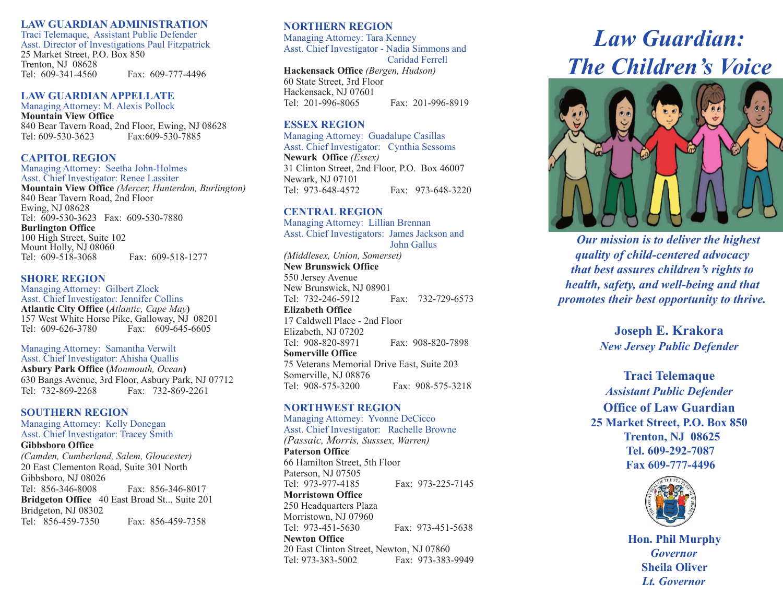#### **LAW GUARDIAN ADMINISTRATION**

Traci Telemaque, Assistant Public Defender Asst. Director of Investigations Paul Fitzpatrick 25 Market Street, P.O. Box 850 Trenton, NJ 08628 Tel: 609-341-4560 Fax: 609-777-4496

### **LAW GUARDIAN APPELLATE**

Managing Attorney: M. Alexis Pollock **Mountain View Office** 840 Bear Tavern Road, 2nd Floor, Ewing, NJ 08628 Tel: 609-530-3623 Fax:609-530-7885

### **CAPITOL REGION**

Managing Attorney: Seetha John-Holmes Asst. Chief Investigator: Renee Lassiter **Mountain View Office** *(Mercer, Hunterdon, Burlington)* 840 Bear Tavern Road, 2nd Floor Ewing, NJ 08628 Tel: 609-530-3623 Fax: 609-530-7880 **Burlington Office** 100 High Street, Suite 102 Mount Holly, NJ 08060<br>Tel: 609-518-3068 Fax: 609-518-1277

**SHORE REGION**

Managing Attorney: Gilbert Zlock Asst. Chief Investigator: Jennifer Collins **Atlantic City Office (***Atlantic, Cape May***)** 157 West White Horse Pike, Galloway, NJ 08201<br>Tel: 609-626-3780 Fax: 609-645-6605 Fax:  $609-645-6605$ 

Managing Attorney: Samantha Verwilt Asst. Chief Investigator: Ahisha Quallis

**Asbury Park Office (***Monmouth, Ocean***)** 630 Bangs Avenue, 3rd Floor, Asbury Park, NJ 07712 Fax: 732-869-2261

### **SOUTHERN REGION**

Managing Attorney: Kelly Donegan Asst. Chief Investigator: Tracey Smith **Gibbsboro Office**  *(Camden, Cumberland, Salem, Gloucester)* 20 East Clementon Road, Suite 301 North Gibbsboro, NJ 08026 Tel: 856-346-8008 Fax: 856-346-8017 **Bridgeton Office** 40 East Broad St.., Suite 201 Bridgeton, NJ 08302 Tel: 856-459-7350 Fax: 856-459-7358

### **NORTHERN REGION**

Managing Attorney: Tara Kenney Asst. Chief Investigator - Nadia Simmons and Caridad Ferrell

**Hackensack Office** *(Bergen, Hudson)*  60 State Street, 3rd Floor Hackensack, NJ 07601 Tel: 201-996-8065 Fax: 201-996-8919

### **ESSEX REGION**

Managing Attorney: Guadalupe Casillas

Asst. Chief Investigator: Cynthia Sessoms **Newark Office** *(Essex)* 31 Clinton Street, 2nd Floor, P.O. Box 46007 Newark, NJ 07101 Tel: 973-648-4572 Fax: 973-648-3220

### **CENTRAL REGION**

Managing Attorney: Lillian Brennan Asst. Chief Investigators: James Jackson and John Gallus

*(Middlesex, Union, Somerset)* **New Brunswick Office**

550 Jersey Avenue New Brunswick, NJ 08901 Tel: 732-246-5912 Fax: 732-729-6573

**Elizabeth Office**  17 Caldwell Place - 2nd Floor Elizabeth, NJ 07202 Tel: 908-820-8971 Fax: 908-820-7898

**Somerville Office**  75 Veterans Memorial Drive East, Suite 203 Somerville, NJ 08876 Tel: 908-575-3200 Fax: 908-575-3218

### **NORTHWEST REGION**

Managing Attorney: Yvonne DeCicco Asst. Chief Investigator: Rachelle Browne

*(Passaic, Morris, Susssex, Warren)* **Paterson Office** 66 Hamilton Street, 5th Floor Paterson, NJ 07505<br>Tel: 973-977-4185 Fax: 973-225-7145 **Morristown Office** 250 Headquarters Plaza Morristown, NJ 07960 Tel: 973-451-5630 Fax: 973-451-5638 **Newton Office**  20 East Clinton Street, Newton, NJ 07860 Tel: 973-383-5002 Fax: 973-383-9949

# *Law Guardian: The Children's Voice*



 *Our mission is to deliver the highest quality of child-centered advocacy that best assures children's rights to health, safety, and well-being and that promotes their best opportunity to thrive.*

> **Joseph E. Krakora** *New Jersey Public Defender*

**Traci Telemaque** *Assistant Public Defender* **Office of Law Guardian 25 Market Street, P.O. Box 850 Trenton, NJ 08625 Tel. 609-292-7087 Fax 609-777-4496**



**Hon. Phil Murphy** *Governor* **Sheila Oliver** *Lt. Governor*